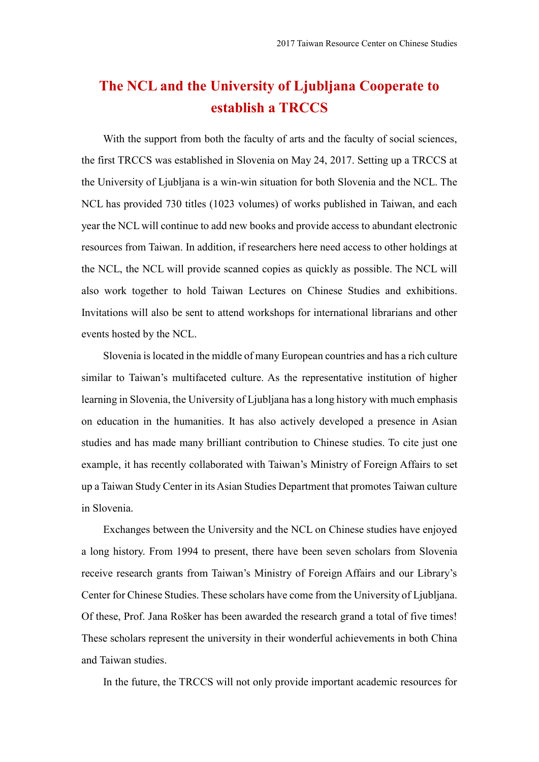## **The NCL and the University of Ljubljana Cooperate to establish a TRCCS**

With the support from both the faculty of arts and the faculty of social sciences, the first TRCCS was established in Slovenia on May 24, 2017. Setting up a TRCCS at the University of Ljubljana is a win-win situation for both Slovenia and the NCL. The NCL has provided 730 titles (1023 volumes) of works published in Taiwan, and each year the NCL will continue to add new books and provide access to abundant electronic resources from Taiwan. In addition, if researchers here need access to other holdings at the NCL, the NCL will provide scanned copies as quickly as possible. The NCL will also work together to hold Taiwan Lectures on Chinese Studies and exhibitions. Invitations will also be sent to attend workshops for international librarians and other events hosted by the NCL.

Slovenia is located in the middle of many European countries and has a rich culture similar to Taiwan's multifaceted culture. As the representative institution of higher learning in Slovenia, the University of Ljubljana has a long history with much emphasis on education in the humanities. It has also actively developed a presence in Asian studies and has made many brilliant contribution to Chinese studies. To cite just one example, it has recently collaborated with Taiwan's Ministry of Foreign Affairs to set up a Taiwan Study Center in its Asian Studies Department that promotes Taiwan culture in Slovenia.

Exchanges between the University and the NCL on Chinese studies have enjoyed a long history. From 1994 to present, there have been seven scholars from Slovenia receive research grants from Taiwan's Ministry of Foreign Affairs and our Library's Center for Chinese Studies. These scholars have come from the University of Ljubljana. Of these, Prof. Jana Rošker has been awarded the research grand a total of five times! These scholars represent the university in their wonderful achievements in both China and Taiwan studies.

In the future, the TRCCS will not only provide important academic resources for